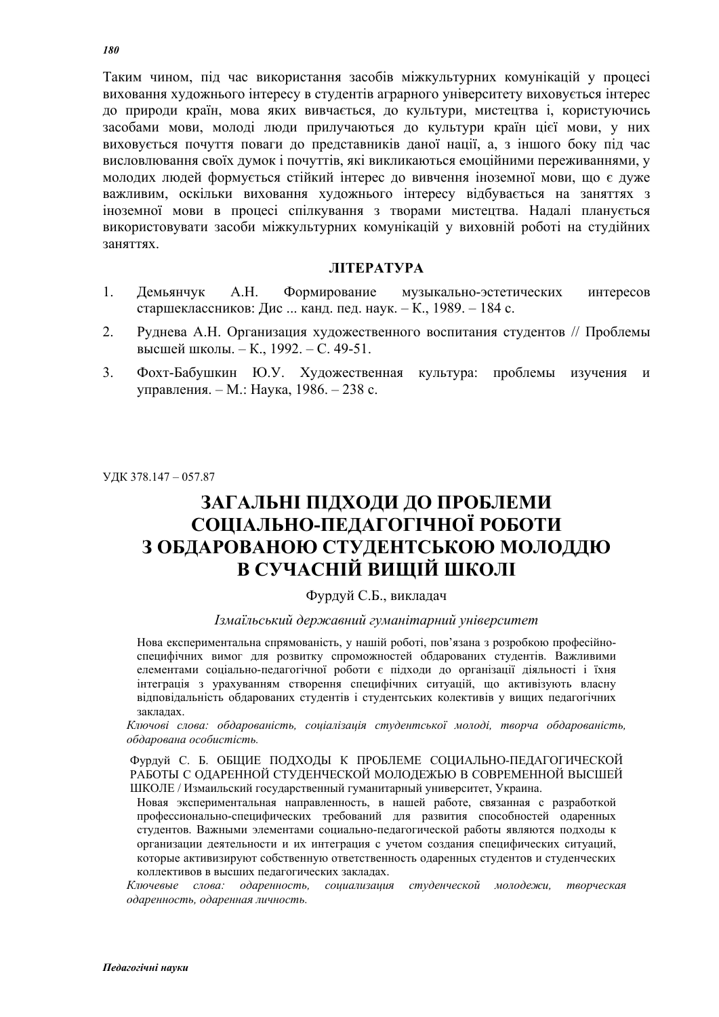Таким чином, піл час використання засобів міжкультурних комунікацій у процесі виховання художнього інтересу в студентів аграрного університету виховується інтерес до природи країн, мова яких вивчається, до культури, мистецтва і, користуючись засобами мови, молоді люди прилучаються до культури країн цієї мови, у них виховується почуття поваги до представників даної нації, а, з іншого боку під час висловлювання своїх думок і почуттів, які викликаються емоційними переживаннями, у молодих людей формується стійкий інтерес до вивчення іноземної мови, що є дуже важливим, оскільки виховання художнього інтересу відбувається на заняттях з іноземної мови в процесі спілкування з творами мистецтва. Надалі планується використовувати засоби міжкультурних комунікацій у виховній роботі на студійних заняттях

#### **JIITEPATYPA**

- 1. Демьянчук А.Н. Формирование музыкально-эстетических интересов старшеклассников: Дис ... канд. пед. наук. – К., 1989. – 184 с.
- 2. Руднева А.Н. Организация художественного воспитания студентов // Проблемы высшей школы. – К., 1992. – С. 49-51.
- 3. Фохт-Бабушкин Ю.У. Художественная культура: проблемы изучения и үправления. – М.: Наука, 1986. – 238 с.

ɍȾɄ 378.147 – 057.87

## ЗАГАЛЬНІ ПІДХОДИ ДО ПРОБЛЕМИ СОЦІАЛЬНО-ПЕДАГОГІЧНОЇ РОБОТИ З ОБДАРОВАНОЮ СТУДЕНТСЬКОЮ МОЛОДДЮ В СУЧАСНІЙ ВИЩІЙ ШКОЛІ

### Фурдуй С.Б., викладач

#### Iзмаїльський державний гуманітарний університет

Нова експериментальна спрямованість, у нашій роботі, пов'язана з розробкою професійноспецифічних вимог для розвитку спроможностей обдарованих студентів. Важливими елементами соціально-педагогічної роботи є підходи до організації діяльності і їхня інтеграція з урахуванням створення специфічних ситуацій, що активізують власну відповідальність обдарованих студентів і студентських колективів у вищих педагогічних закладах.

Ключові слова: обдарованість, соціалізація студентської молоді, творча обдарованість,  $\sigma$ бдарована особистість.

Фурдуй С. Б. ОБЩИЕ ПОДХОДЫ К ПРОБЛЕМЕ СОЦИАЛЬНО-ПЕДАГОГИЧЕСКОЙ РАБОТЫ С ОДАРЕННОЙ СТУДЕНЧЕСКОЙ МОЛОДЕЖЬЮ В СОВРЕМЕННОЙ ВЫСШЕЙ ШКОЛЕ / Измаильский государственный гуманитарный университет, Украина.

Новая экспериментальная направленность, в нашей работе, связанная с разработкой профессионально-специфических требований для развития способностей одаренных студентов. Важными элементами социально-педагогической работы являются подходы к организации деятельности и их интеграция с учетом создания специфических ситуаций, которые активизируют собственную ответственность одаренных студентов и студенческих коллективов в высших педагогических закладах.

Ключевые слова: одаренность, социализация студенческой молодежи, творческая  $\partial$ даренность, одаренная личность.

*180*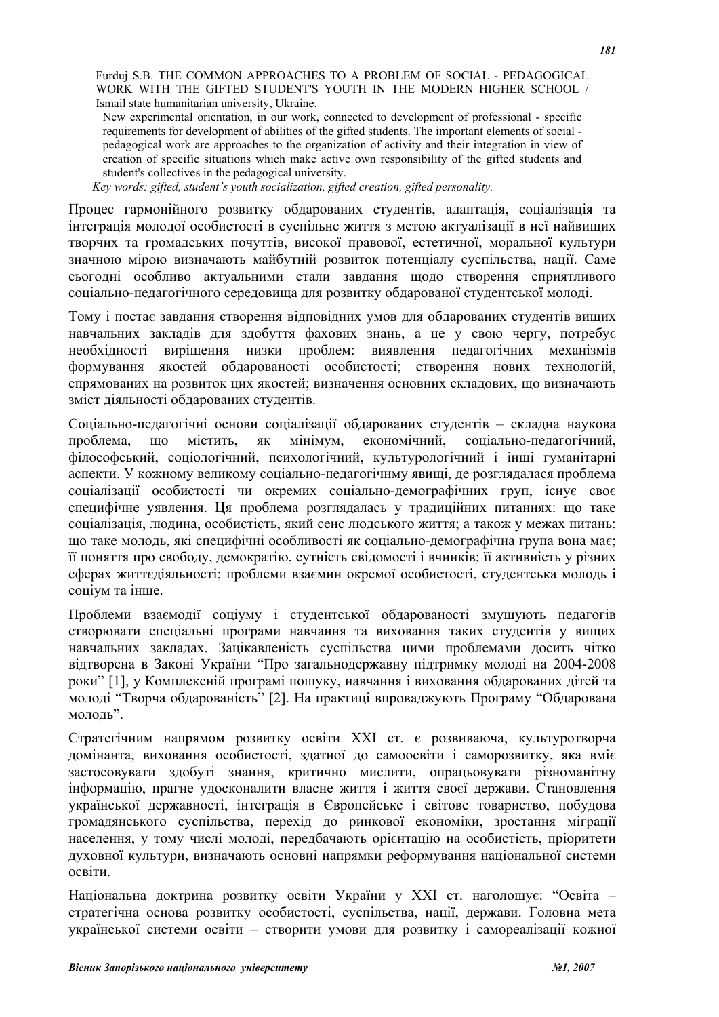Furduj S.B. THE COMMON APPROACHES TO A PROBLEM OF SOCIAL - PEDAGOGICAL WORK WITH THE GIFTED STUDENT'S YOUTH IN THE MODERN HIGHER SCHOOL / Ismail state humanitarian university, Ukraine.

New experimental orientation, in our work, connected to development of professional - specific requirements for development of abilities of the gifted students. The important elements of social pedagogical work are approaches to the organization of activity and their integration in view of creation of specific situations which make active own responsibility of the gifted students and student's collectives in the pedagogical university.

*Key words: gifted, student's youth socialization, gifted creation, gifted personality.*

Процес гармонійного розвитку обларованих стулентів, алаптація, соціалізація та інтеграція молодої особистості в суспільне життя з метою актуалізації в неї найвищих творчих та громадських почуттів, високої правової, естетичної, моральної культури значною мірою визначають майбутній розвиток потенціалу суспільства, нації. Саме сьогодні особливо актуальними стали завдання щодо створення сприятливого соціально-педагогічного середовища для розвитку обдарованої студентської молоді.

Тому і постає завдання створення відповідних умов для обдарованих студентів вищих навчальних закладів для здобуття фахових знань, а це у свою чергу, потребує необхідності вирішення низки проблем: виявлення педагогічних механізмів формування якостей обдарованості особистості; створення нових технологій, спрямованих на розвиток цих якостей; визначення основних складових, що визначають зміст діяльності обдарованих студентів.

Соціально-пелагогічні основи соціалізації обларованих стулентів – склална наукова проблема, що містить, як мінімум, економічний, соціально-педагогічний, філософський соціологічний психологічний культурологічний і інші гуманітарні аспекти. У кожному великому соціально-пелагогічнму явиші, де розглялалася проблема соціалізації особистості чи окремих соціально-демографічних груп, існує своє специфічне уявлення. Ця проблема розглядалась у традиційних питаннях: що таке соціалізація, людина, особистість, який сенс людського життя; а також у межах питань: що таке молодь, які специфічні особливості як соціально-демографічна група вона має; її поняття про свободу, демократію, сутність свідомості і вчинків; її активність у різних сферах життєдіяльності; проблеми взаємин окремої особистості, студентська молодь і соціум та інше.

Проблеми взаємодії соціуму і студентської обдарованості змушують педагогів створювати спеціальні програми навчання та виховання таких студентів у вищих навчальних закладах. Зацікавленість суспільства цими проблемами досить чітко відтворена в Законі України "Про загальнодержавну підтримку молоді на 2004-2008 роки" [1], у Комплексній програмі пошуку, навчання і виховання обларованих літей та молоді "Творча обдарованість" [2]. На практиці впроваджують Програму "Обдарована  $M$ ОЛОЛЬ".

Стратегічним напрямом розвитку освіти XXI ст. є розвиваюча, культуротворча домінанта, виховання особистості, здатної до самоосвіти і саморозвитку, яка вміє застосовувати здобуті знання, критично мислити, опрацьовувати різноманітну інформацію, прагне удосконалити власне життя і життя своєї держави. Становлення української державності, інтеграція в Європейське і світове товариство, побудова громадянського суспільства, перехід до ринкової економіки, зростання міграції населення, у тому числі молоді, передбачають орієнтацію на особистість, пріоритети духовної культури, визначають основні напрямки реформування національної системи освіти

Національна доктрина розвитку освіти України у XXI ст. наголошує: "Освіта стратегічна основа розвитку особистості, суспільства, нації, держави. Головна мета української системи освіти – створити умови для розвитку і самореалізації кожної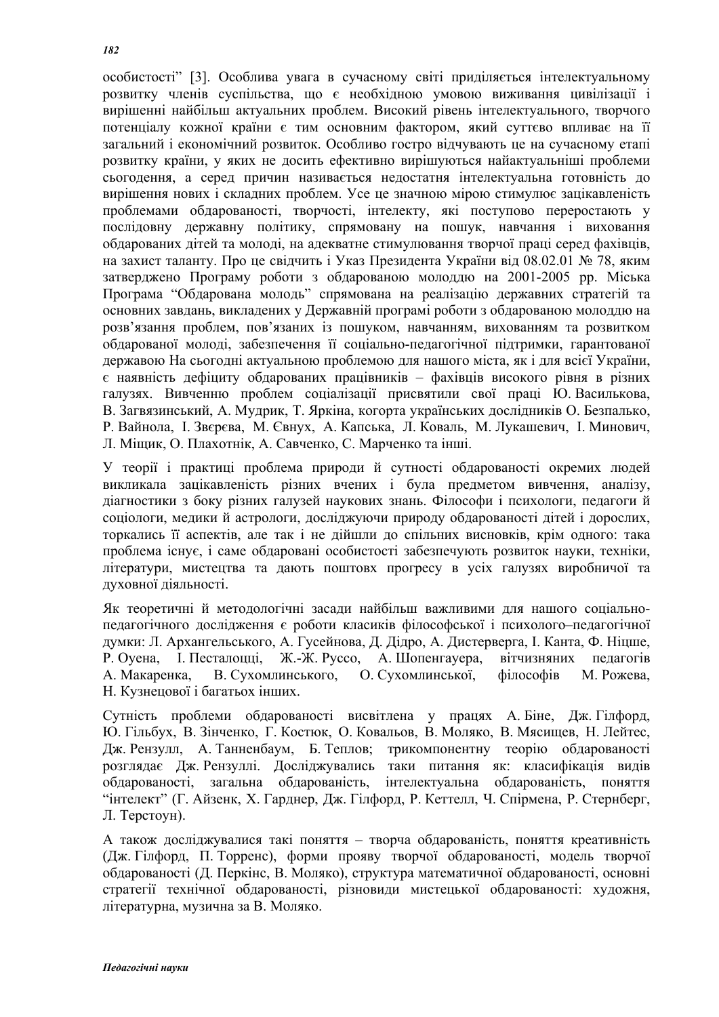особистості" [3]. Особлива увага в сучасному світі приліляється інтелектуальному розвитку членів суспільства, що є необхідною умовою виживання цивілізації і вирішенні найбільш актуальних проблем. Високий рівень інтелектуального, творчого потенціалу кожної країни є тим основним фактором, який суттєво впливає на її загальний і економічний розвиток. Особливо гостро відчувають це на сучасному етапі розвитку країни, у яких не досить ефективно вирішуються найактуальніші проблеми сьогодення, а серед причин називається недостатня інтелектуальна готовність до вирішення нових і складних проблем. Усе це значною мірою стимулює зацікавленість проблемами обдарованості, творчості, інтелекту, які поступово переростають у послідовну державну політику, спрямовану на пошук, навчання і виховання обдарованих дітей та молоді, на адекватне стимулювання творчої праці серед фахівців, на захист таланту. Про не свілчить і Указ Презилента України віл 08.02.01 № 78, яким затверджено Програму роботи з обдарованою молоддю на 2001-2005 рр. Міська Програма "Обдарована молодь" спрямована на реалізацію державних стратегій та основних завдань, викладених у Державній програмі роботи з обдарованою молоддю на розв'язання проблем, пов'язаних із пошуком, навчанням, вихованням та розвитком обдарованої молоді, забезпечення її соціально-педагогічної підтримки, гарантованої державою На сьогодні актуальною проблемою для нашого міста, як і для всієї України,  $\epsilon$  наявність лефіциту обларованих працівників – фахівців високого рівня в різних галузях. Вивченню проблем соціалізації присвятили свої праці Ю. Василькова, В. Загвязинський, А. Мудрик, Т. Яркіна, когорта українських дослідників О. Безпалько, Р. Вайнола, І. Звєрєва, М. Євнух, А. Капська, Л. Коваль, М. Лукашевич, І. Минович, Л. Мішик. О. Плахотнік. А. Савченко, С. Марченко та інші.

У теорії і практиці проблема природи й сутності обдарованості окремих людей викликала зацікавленість різних вчених і була предметом вивчення, аналізу, діагностики з боку різних галузей наукових знань. Філософи і психологи, пелагоги й соціологи, медики й астрологи, досліджуючи природу обдарованості дітей і дорослих, торкались її аспектів, але так і не дійшли до спільних висновків, крім одного: така проблема існує, і саме обдаровані особистості забезпечують розвиток науки, техніки, літератури, мистецтва та дають поштовх прогресу в усіх галузях виробничої та духовної діяльності.

Як теоретичні й методологічні засади найбільш важливими для нашого соціальнопедагогічного дослідження є роботи класиків філософської і психолого-педагогічної думки: Л. Архангельського, А. Гусейнова, Д. Дідро, А. Дистерверга, І. Канта, Ф. Ніцше, Р. Оуена, І. Песталоцці, Ж.-Ж. Руссо, А. Шопенгауера, вітчизняних педагогів А. Макаренка, В. Сухомлинського, О. Сухомлинської, філософів М. Рожева, Н. Кузнецової і багатьох інших.

Сутність проблеми обдарованості висвітлена у працях А.Біне, Дж.Гілфорд, Ю. Гільбух, В. Зінченко, Г. Костюк, О. Ковальов, В. Моляко, В. Мясищев, Н. Лейтес, Дж. Рензулл, А. Танненбаум, Б. Теплов; трикомпонентну теорію обдарованості розглядає Дж. Рензуллі. Досліджувались таки питання як: класифікація видів обдарованості, загальна обдарованість, інтелектуальна обдарованість, поняття "інтелект" (Г. Айзенк, Х. Гарднер, Дж. Гілфорд, Р. Кеттелл, Ч. Спірмена, Р. Стернберг, Л. Терстоун).

А також досліджувалися такі поняття - творча обдарованість, поняття креативність (Дж. Гілфорд, П. Торренс), форми прояву творчої обдарованості, модель творчої обдарованості (Д. Перкінс, В. Моляко), структура математичної обдарованості, основні стратегії технічної обдарованості, різновиди мистецької обдарованості: художня, літературна, музична за В. Моляко.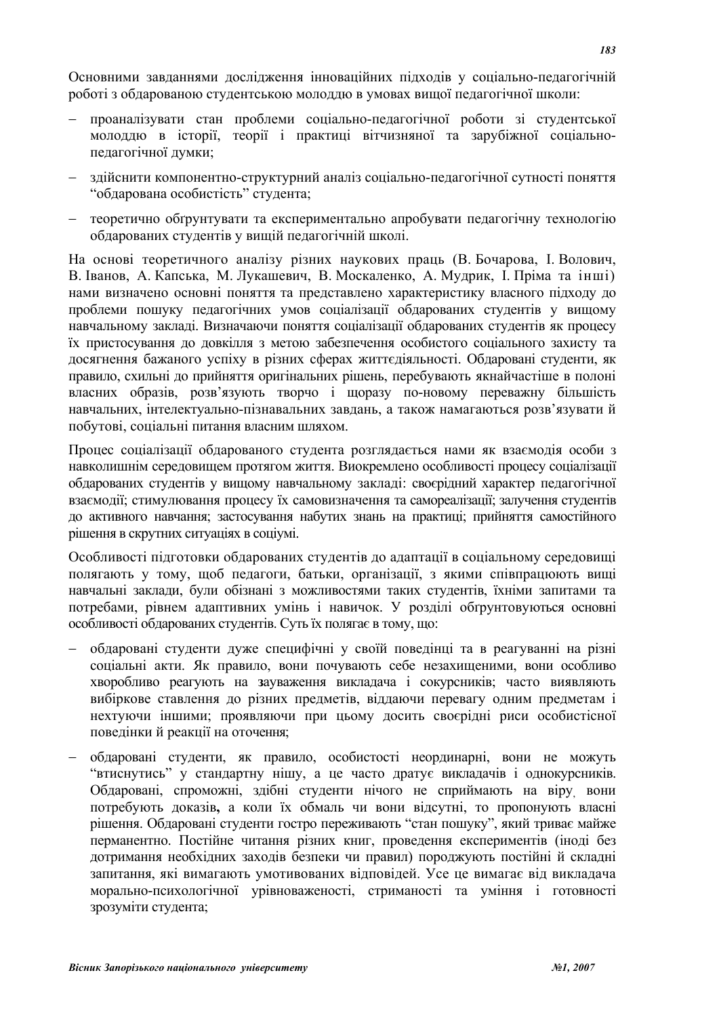Основними завланнями лослілження інноваційних пілхолів у соціально-пелагогічній роботі з обдарованою студентською молоддю в умовах вищої педагогічної школи:

- проаналізувати стан проблеми соціально-пелагогічної роботи зі стулентської молоддю в історії, теорії і практиці вітчизняної та зарубіжної соціальнопедагогічної думки;
- здійснити компонентно-структурний аналіз соціально-педагогічної сутності поняття "обдарована особистість" студента;
- теоретично обґрунтувати та експериментально апробувати педагогічну технологію обдарованих студентів у вищій педагогічній школі.

На основі теоретичного аналізу різних наукових праць (В. Бочарова, І. Волович, В. Іванов, А. Капська, М. Лукашевич, В. Москаленко, А. Мудрик, І. Пріма та інші) нами визначено основні поняття та представлено характеристику власного підходу до проблеми пошуку педагогічних умов соціалізації обдарованих студентів у вищому навчальному закладі. Визначаючи поняття соціалізації обдарованих студентів як процесу їх пристосування до довкілля з метою забезпечення особистого соціального захисту та досягнення бажаного успіху в різних сферах життєдіяльності. Обдаровані студенти, як правило, схильні до прийняття оригінальних рішень, перебувають якнайчастіше в полоні власних образів, розв'язують творчо і щоразу по-новому переважну більшість навчальних, інтелектуально-пізнавальних завдань, а також намагаються розв'язувати й побутові, соціальні питання власним шляхом.

Процес соціалізації обдарованого студента розглядається нами як взаємодія особи з навколишнім середовищем протягом життя. Виокремлено особливості процесу соціалізації обдарованих студентів у вищому навчальному закладі: своєрідний характер педагогічної взаємодії; стимулювання процесу їх самовизначення та самореалізації; залучення студентів до активного навчання; застосування набутих знань на практиці; прийняття самостійного рішення в скрутних ситуаціях в соціумі.

Особливості підготовки обдарованих студентів до адаптації в соціальному середовищі полягають у тому, щоб педагоги, батьки, організації, з якими співпрацюють вищі навчальні заклади, були обізнані з можливостями таких студентів, їхніми запитами та потребами, рівнем адаптивних умінь і навичок. У розділі обґрунтовуються основні особливості обдарованих студентів. Суть їх полягає в тому, що:

- обдаровані студенти дуже специфічні у своїй поведінці та в реагуванні на різні соціальні акти. Як правило, вони почувають себе незахищеними, вони особливо хворобливо реагують на зауваження викладача *і сокурсників*; часто виявляють вибіркове ставлення до різних предметів, віддаючи перевагу одним предметам і нехтуючи іншими; проявляючи при цьому досить своєрідні риси особистісної поведінки й реакції на оточення;
- обдаровані студенти, як правило, особистості неординарні, вони не можуть "втиснутись" у стандартну нішу, а це часто дратує викладачів і однокурсників. Обдаровані, спроможні, здібні студенти нічого не сприймають на віру вони потребують доказів, а коли їх обмаль чи вони відсутні, то пропонують власні рішення. Обдаровані студенти гостро переживають "стан пошуку", який триває майже перманентно. Постійне читання різних книг, проведення експериментів (іноді без дотримання необхілних захолів безпеки чи правил) поролжують постійні й склалні запитання, які вимагають умотивованих відповідей. Усе це вимагає від викладача морально-психологічної урівноваженості, стриманості та уміння і готовності зрозуміти студента;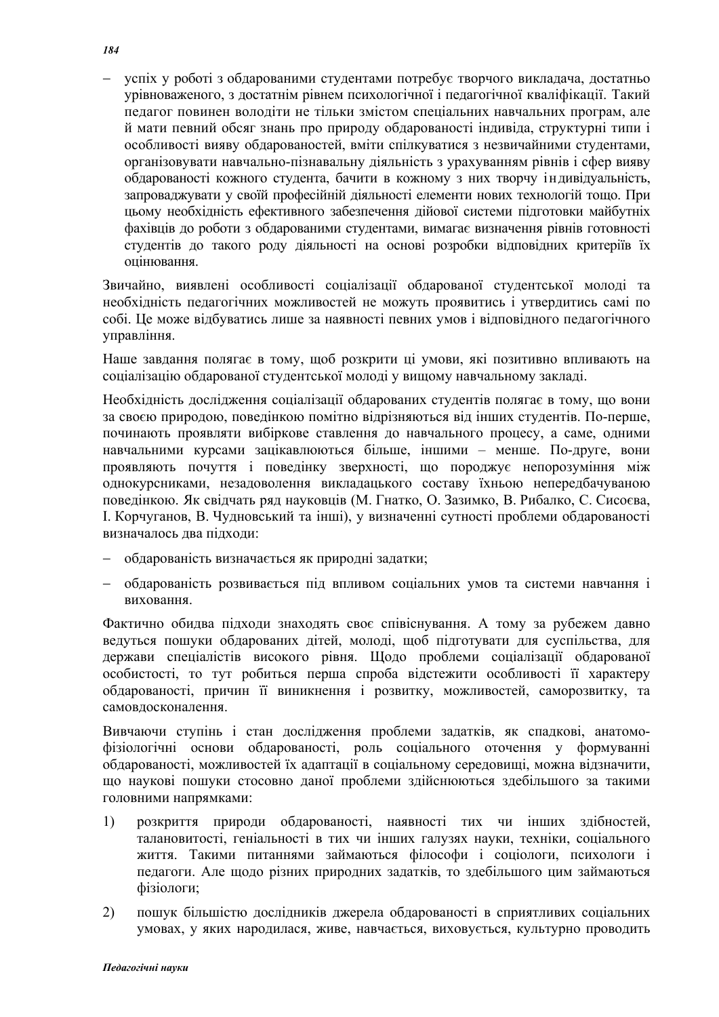успіх у роботі з обдарованими студентами потребує творчого викладача, достатньо урівноваженого, з достатнім рівнем психологічної і педагогічної кваліфікації. Такий педагог повинен володіти не тільки змістом спеціальних навчальних програм, але й мати певний обсяг знань про природу обдарованості індивіда, структурні типи і особливості вияву обдарованостей, вміти спілкуватися з незвичайними студентами, організовувати навчально-пізнавальну діяльність з урахуванням рівнів і сфер вияву обдарованості кожного студента, бачити в кожному з них творчу індивідуальність, запроваджувати у своїй професійній діяльності елементи нових технологій тощо. При цьому необхідність ефективного забезпечення дійової системи підготовки майбутніх фахівців до роботи з обдарованими студентами, вимагає визначення рівнів готовності студентів до такого роду діяльності на основі розробки відповідних критеріїв їх опінювання.

Звичайно, виявлені особливості соціалізації обдарованої студентської молоді та необхідність педагогічних можливостей не можуть проявитись і утвердитись самі по собі. Це може відбуватись лише за наявності певних умов і відповідного педагогічного управління.

Наше завдання полягає в тому, щоб розкрити ці умови, які позитивно впливають на соціалізацію обдарованої студентської молоді у вищому навчальному закладі.

Необхідність дослідження соціалізації обдарованих студентів полягає в тому, що вони за своєю природою, поведінкою помітно відрізняються від інших студентів. По-перше, починають проявляти вибіркове ставлення до навчального процесу, а саме, одними навчальними курсами зацікавлюються більше, іншими – менше. По-друге, вони проявляють почуття і поведінку зверхності, що породжує непорозуміння між однокурсниками, незадоволення викладацького составу їхньою непередбачуваною поведінкою. Як свідчать ряд науковців (М. Гнатко, О. Зазимко, В. Рибалко, С. Сисоєва, I. Корчуганов, В. Чудновський та інші), у визначенні сутності проблеми обдарованості визначалось два підходи:

- обдарованість визначається як природні задатки;
- обдарованість розвивається під впливом соціальних умов та системи навчання і **BUXOBAHHS**

Фактично обидва підходи знаходять своє співіснування. А тому за рубежем давно ведуться пошуки обдарованих дітей, молоді, щоб підготувати для суспільства, для держави спеціалістів високого рівня. Щодо проблеми соціалізації обдарованої особистості, то тут робиться перша спроба відстежити особливості її характеру обдарованості, причин її виникнення і розвитку, можливостей, саморозвитку, та самовдосконалення.

Вивчаючи ступінь і стан дослідження проблеми задатків, як спадкові, анатомофізіологічні основи обдарованості, роль соціального оточення у формуванні обдарованості, можливостей їх адаптації в соціальному середовищі, можна відзначити, що наукові пошуки стосовно даної проблеми здійснюються здебільшого за такими головними напрямками:

- 1) розкриття природи обдарованості, наявності тих чи інших здібностей, талановитості, геніальності в тих чи інших галузях науки, техніки, соціального життя. Такими питаннями займаються філософи і соціологи, психологи і педагоги. Але щодо різних природних задатків, то здебільшого цим займаються фізіологи;
- 2) пошук більшістю дослідників джерела обдарованості в сприятливих соціальних умовах, у яких народилася, живе, навчається, виховується, культурно проводить

*184*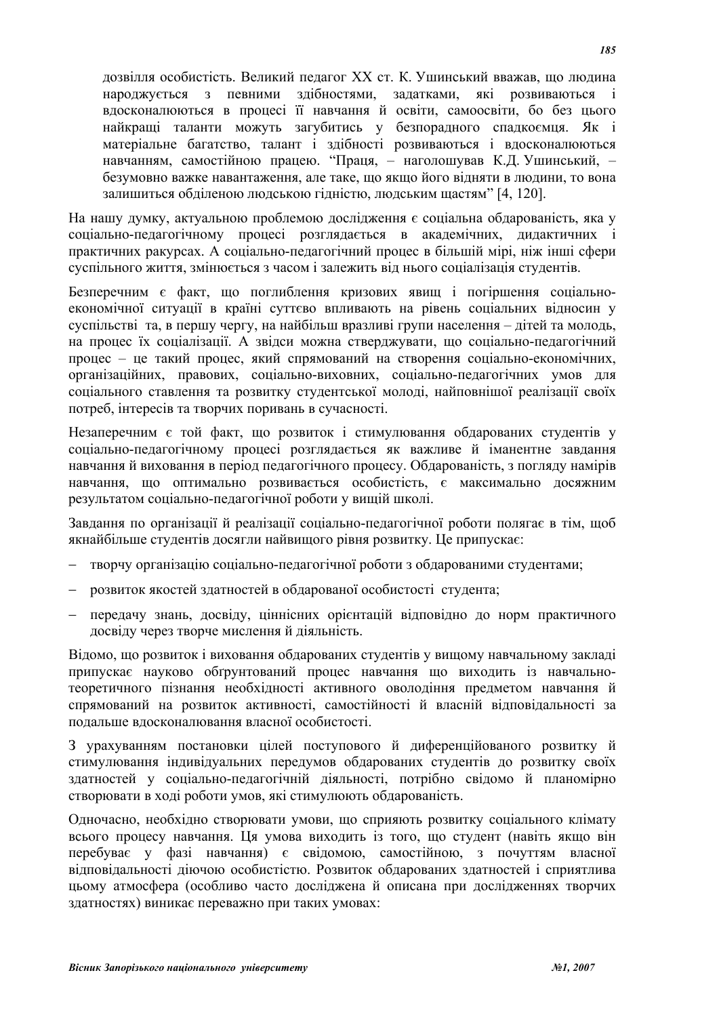дозвілля особистість. Великий пелагог XX ст. К. Ушинський вважав, що людина народжується з певними здібностями, задатками, які розвиваються і вдосконалюються в процесі її навчання й освіти, самоосвіти, бо без цього найкращі таланти можуть загубитись у безпорадного спадкоємця. Як і матеріальне багатство, талант і здібності розвиваються і вдосконалюються навчанням, самостійною працею. "Праця, - наголошував К.Д. Ушинський, безумовно важке навантаження, але таке, що якщо його відняти в людини, то вона залишиться обділеною людською гідністю, людським щастям" [4, 120].

На нашу думку, актуальною проблемою дослідження є соціальна обдарованість, яка у соціально-педагогічному процесі розглядається в академічних, дидактичних і практичних ракурсах. А соціально-пелагогічний процес в більшій мірі, ніж інші сфери суспільного життя, змінюється з часом і залежить від нього соціалізація студентів.

Безперечним є факт, що поглиблення кризових явищ і погіршення соціальноекономічної ситуації в країні суттєво впливають на рівень соціальних відносин у суспільстві та в першу чергу, на найбільш вразливі групи населення – літей та молодь, на процес їх соціалізації. А звілси можна стверлжувати, що соціально-пелагогічний процес – це такий процес, який спрямований на створення соціально-економічних, організаційних, правових, соціально-виховних, соціально-педагогічних умов для соціального ставлення та розвитку студентської молоді, найповнішої реалізації своїх потреб, інтересів та творчих поривань в сучасності.

Незаперечним є той факт, що розвиток і стимулювання обларованих студентів у соціально-педагогічному процесі розглядається як важливе й іманентне завдання навчанняй виховання в період педагогічного процесу. Обдарованість, з погляду намірів навчання, що оптимально розвивається особистість, є максимально досяжним результатом соціально-педагогічної роботи у вищій школі.

Завлання по організації й реалізації соціально-пелагогічної роботи полягає в тім, шоб якнайбільше студентів досягли найвищого рівня розвитку. Це припускає:

- творчу організацію соціально-пелагогічної роботи з обларованими студентами:
- розвиток якостей здатностей в обдарованої особистості студента;
- передачу знань, досвіду, ціннісних орієнтацій відповідно до норм практичного досвіду через творче мислення й діяльність.

Відомо, що розвиток і виховання обдарованих студентів у вищому навчальному закладі припускає науково обґрунтований процес навчання що виходить із навчальнотеоретичного пізнання необхідності активного оволодіння предметом навчання й спрямований на розвиток активності, самостійності й власній відповідальності за подальше вдосконалювання власної особистості.

З урахуванням постановки цілей поступового й диференційованого розвитку й стимулювання індивідуальних передумов обдарованих студентів до розвитку своїх здатностей у соціально-педагогічній діяльності, потрібно свідомо й планомірно створювати в ході роботи умов, які стимулюють обдарованість.

Одночасно, необхідно створювати умови, що сприяють розвитку соціального клімату всього процесу навчання. Ця умова виходить із того, що студент (навіть якщо він перебуває у фазі навчання) є свідомою, самостійною, з почуттям власної відповідальності діючою особистістю. Розвиток обдарованих здатностей і сприятлива цьому атмосфера (особливо часто досліджена й описана при дослідженнях творчих здатностях) виникає переважно при таких умовах: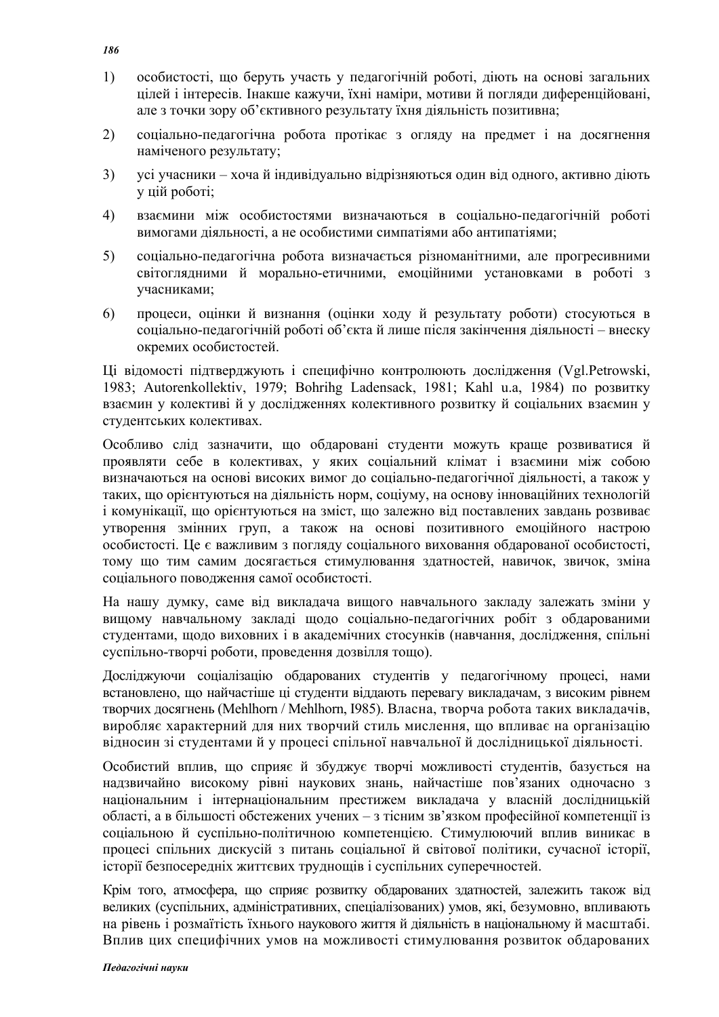- 1)  $\alpha$ особистості, що беруть участь у пелагогічній роботі, ліють на основі загальних цілей і інтересів. Інакше кажучи, їхні наміри, мотиви й погляди диференційовані, але з точки зору об'єктивного результату їхня діяльність позитивна;
- 2) соціально-педагогічна робота протікає з огляду на предмет і на досягнення наміченого результату;
- 3) усі учасники хоча й індивідуально відрізняються один від одного, активно діють у цій роботі;
- 4) взаємини між особистостями визначаються в соціально-педагогічній роботі вимогами діяльності, а не особистими симпатіями або антипатіями;
- 5) соціально-педагогічна робота визначається різноманітними, але прогресивними світоглялними й морально-етичними, емоційними установками в роботі з учасниками;
- 6) процеси, оцінки й визнання (оцінки ходу й результату роботи) стосуються в соціально-педагогічній роботі об'єкта й лише після закінчення діяльності – внеску окремих особистостей.

Ці відомості підтверджують і специфічно контролюють дослідження (Vgl.Petrowski, 1983; Autorenkollektiv, 1979; Bohrihg Ladensack, 1981; Kahl u.a, 1984) по розвитку взаємин у колективі й у лослілженнях колективного розвитку й соціальних взаємин у студентських колективах.

Особливо слід зазначити, що обдаровані студенти можуть краще розвиватися й проявляти себе в колективах, у яких соціальний клімат і взаємини між собою визначаються на основі високих вимог до соціально-педагогічної діяльності, а також у таких, що орієнтуються на діяльність норм, соціуму, на основу інноваційних технологій і комунікації, що орієнтуються на зміст, що залежно від поставлених завдань розвиває утворення змінних груп, а також на основі позитивного емоційного настрою особистості. Це є важливим з погляду соціального виховання обдарованої особистості, тому що тим самим досягається стимулювання здатностей, навичок, звичок, зміна соціального поводження самої особистості.

На нашу думку, саме від викладача вищого навчального закладу залежать зміни у вищому навчальному закладі щодо соціально-педагогічних робіт з обдарованими студентами, щодо виховних і в академічних стосунків (навчання, дослідження, спільні суспільно-творчі роботи, проведення дозвілля тощо).

Досліджуючи соціалізацію обдарованих студентів у педагогічному процесі, нами встановлено, що найчастіше ці студенти віддають перевагу викладачам, з високим рівнем творчих досягнень (Mehlhorn / Mehlhorn, 1985). Власна, творча робота таких викладачів, виробляє характерний для них творчий стиль мислення, що впливає на організацію відносин зі студентами й у процесі спільної навчальної й дослідницької діяльності.

Особистий вплив, що сприяє й збуджує творчі можливості студентів, базується на надзвичайно високому рівні наукових знань, найчастіше пов'язаних одночасно з національним і інтернаціональним престижем викладача у власній дослідницькій області, а в більшості обстежених учених – з тісним зв'язком професійної компетенції із соціальною й суспільно-політичною компетенцією. Стимулюючий вплив виникає в процесі спільних дискусій з питань соціальної й світової політики, сучасної історії, історії безпосередніх життєвих труднощів і суспільних суперечностей.

Крім того, атмосфера, що сприяє розвитку обдарованих здатностей, залежить також від великих (суспільних, адміністративних, спеціалізованих) умов, які, безумовно, впливають на рівень і розмаїтість їхнього наукового життя й діяльність в національному й масштабі. Вплив цих специфічних умов на можливості стимулювання розвиток обдарованих

*186*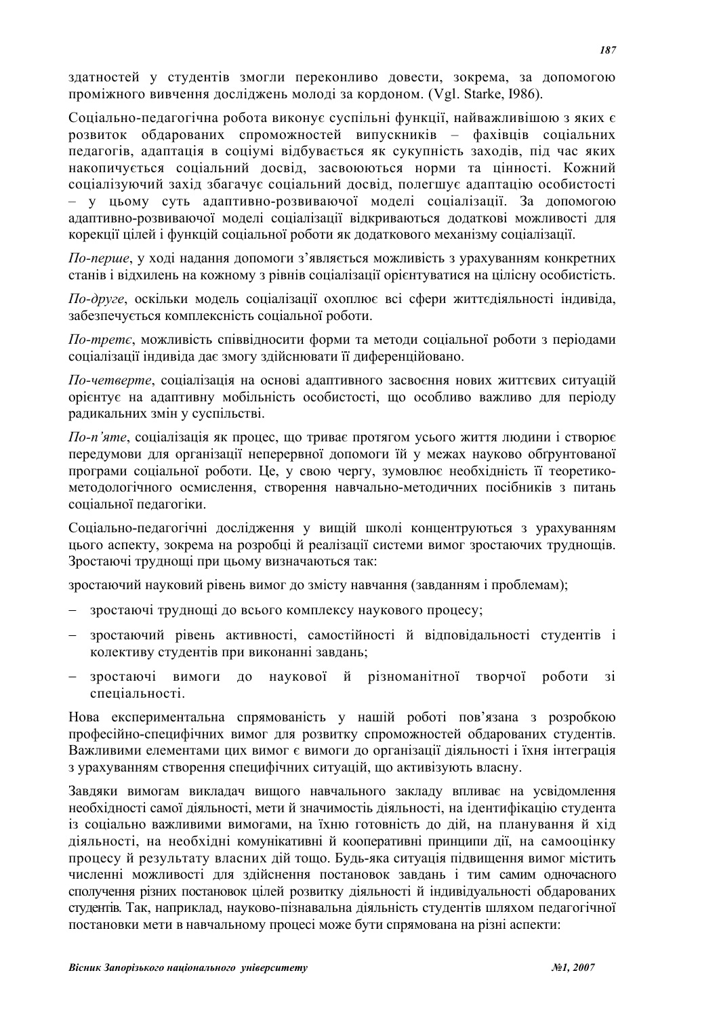златностей у стулентів змогли переконливо ловести, зокрема, за лопомогою проміжного вивчення досліджень молоді за кордоном. (Vgl. Starke, 1986).

Соціально-педагогічна робота виконує суспільні функції, найважливішою з яких є розвиток обдарованих спроможностей випускників – фахівців соціальних педагогів, адаптація в соціумі відбувається як сукупність заходів, під час яких накопичується соціальний досвід, засвоюються норми та цінності. Кожний соціалізуючий захід збагачує соціальний досвід, полегшує адаптацію особистості – у цьому суть адаптивно-розвиваючої моделі соціалізації. За допомогою адаптивно-розвиваючої моделі соціалізації відкриваються додаткові можливості для корекції цілей і функцій соціальної роботи як додаткового механізму соціалізації.

 $\eta$ *-перше*, у ході надання допомоги з'являється можливість з урахуванням конкретних станів і відхилень на кожному з рівнів соціалізації орієнтуватися на цілісну особистість.

*По-друге*, оскільки модель соціалізації охоплює всі сфери життєдіяльності індивіда, забезпечується комплексність соціальної роботи.

 $\eta$ *-третє*, можливість співвідносити форми та методи соціальної роботи з періодами соціалізації індивіда дає змогу здійснювати її диференційовано.

*По-четверте*, соціалізація на основі адаптивного засвоєння нових життєвих ситуацій орієнтує на адаптивну мобільність особистості, що особливо важливо для періоду радикальних змін у суспільстві.

*По-п'яте*, соціалізація як процес, що триває протягом усього життя людини і створює передумови для організації неперервної допомоги їй у межах науково обґрунтованої програми соціальної роботи. Це, у свою чергу, зумовлює необхідність її теоретикометолологічного осмислення створення навчально-метоличних посібників з питань соціальної педагогіки.

Соціально-педагогічні дослідження у вищій школі концентруються з урахуванням цього аспекту, зокрема на розробці й реалізації системи вимог зростаючих труднощів. Зростаючі труднощі при цьому визначаються так:

зростаючий науковий рівень вимог до змісту навчання (завданням і проблемам);

- зростаючі труднощі до всього комплексу наукового процесу;
- зростаючий рівень активності, самостійності й відповідальності студентів і колективу студентів при виконанні завдань;
- зростаючі вимоги до наукової й різноманітної творчої роботи зі спеціальності.

Нова експериментальна спрямованість у нашій роботі пов'язана з розробкою професійно-специфічних вимог для розвитку спроможностей обдарованих студентів. Важливими елементами цих вимог є вимоги до організації діяльності і їхня інтеграція з урахуванням створення специфічних ситуацій, що активізують власну.

Завдяки вимогам викладач вищого навчального закладу впливає на усвідомлення необхідності самої діяльності, мети й значимостіь діяльності, на ідентифікацію студента із соціально важливими вимогами, на їхню готовність до дій, на планування й хід діяльності, на необхідні комунікативні й кооперативні принципи дії, на самооцінку процесу й результату власних дій тощо. Будь-яка ситуація підвищення вимог містить численні можливості для здійснення постановок завдань і тим самим одночасного сполучення різних постановок цілей розвитку діяльності й індивідуальності обдарованих студентів. Так, наприклал, науково-пізнавальна ліяльність студентів шляхом пелагогічної постановки мети в навчальному процесі може бути спрямована на різні аспекти: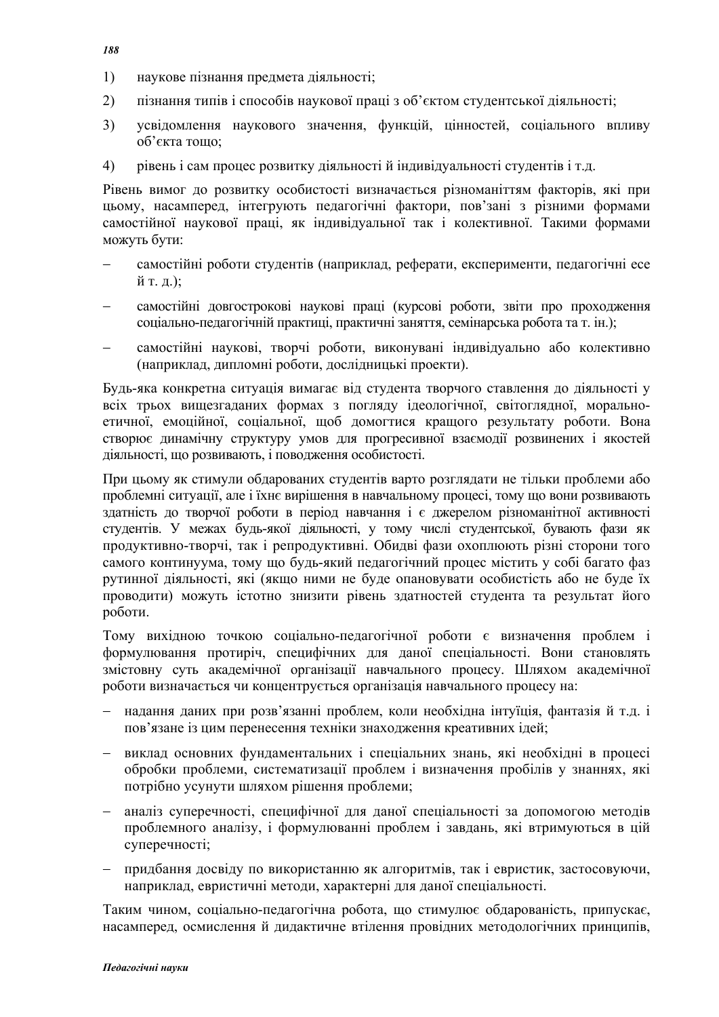- *188*
- 1) наукове пізнання предмета ліяльності:
- 2) пізнання типів і способів наукової праці з об'єктом студентської діяльності;
- 3) усвідомлення наукового значення, функцій, цінностей, соціального впливу об'єкта тошо:
- 4) рівень і сам процес розвитку діяльності й індивідуальності студентів і т.д.

Рівень вимог до розвитку особистості визначається різноманіттям факторів, які при цьому, насамперед, інтегрують педагогічні фактори, пов'зані з різними формами самостійної наукової праці, як індивідуальної так і колективної. Такими формами можуть бути:

- самостійні роботи студентів (наприклад, реферати, експерименти, педагогічні есе  $\check{H}$  Т. Д.);
- самостійні довгострокові наукові праці (курсові роботи, звіти про проходження соціально-педагогічній практиці, практичні заняття, семінарська робота та т. ін.);
- самостійні наукові, творчі роботи, виконувані індивідуально або колективно (наприклад, дипломні роботи, дослідницькі проекти).

Будь-яка конкретна ситуація вимагає від студента творчого ставлення до діяльності у всіх трьох вишезгаланих формах з поглялу ілеологічної, світоглялної, моральноетичної, емоційної, соціальної, щоб домогтися кращого результату роботи. Вона створює динамічну структуру умов для прогресивної взаємодії розвинених і якостей діяльності, що розвивають, і поводження особистості.

При цьому як стимули обдарованих студентів варто розглядати не тільки проблеми або проблемні ситуації, але і їхнє вирішення в навчальному процесі, тому що вони розвивають здатність до творчої роботи в період навчання і є джерелом різноманітної активності студентів. У межах будь-якої діяльності, у тому числі студентської, бувають фази як продуктивно-творчі, так і репродуктивні. Обидві фази охоплюють різні сторони того самого континуума, тому що будь-який педагогічний процес містить у собі багато фаз рутинної діяльності, які (якщо ними не буде опановувати особистість або не буде їх проводити) можуть iстотно знизити рiвень здатностей студента та результат його роботи.

Тому вихідною точкою соціально-педагогічної роботи є визначення проблем і формулювання протиріч, специфічних для даної спеціальності. Вони становлять змістовну суть акалемічної організації навчального процесу. Шляхом акалемічної роботи визначається чи концентрується організація навчального процесу на:

- налання ланих при розв'язанні проблем, коли необхілна інтуїція, фантазія й т.л. і пов'язане із цим перенесення техніки знаходження креативних ідей;
- виклал основних фунламентальних і спеціальних знань, які необхілні в процесі обробки проблеми, систематизації проблем і визначення пробілів у знаннях, які потрібно усунути шляхом рішення проблеми;
- аналіз суперечності, специфічної для даної спеціальності за допомогою методів проблемного аналізу, і формулюванні проблем і завдань, які втримуються в цій суперечності:
- придбання досвіду по використанню як алгоритмів, так і евристик, застосовуючи, наприклал, евристичні метоли, характерні лля ланої спеціальності.

Таким чином, соціально-педагогічна робота, що стимулює обдарованість, припускає, насамперед, осмислення й дидактичне втілення провідних методологічних принципів,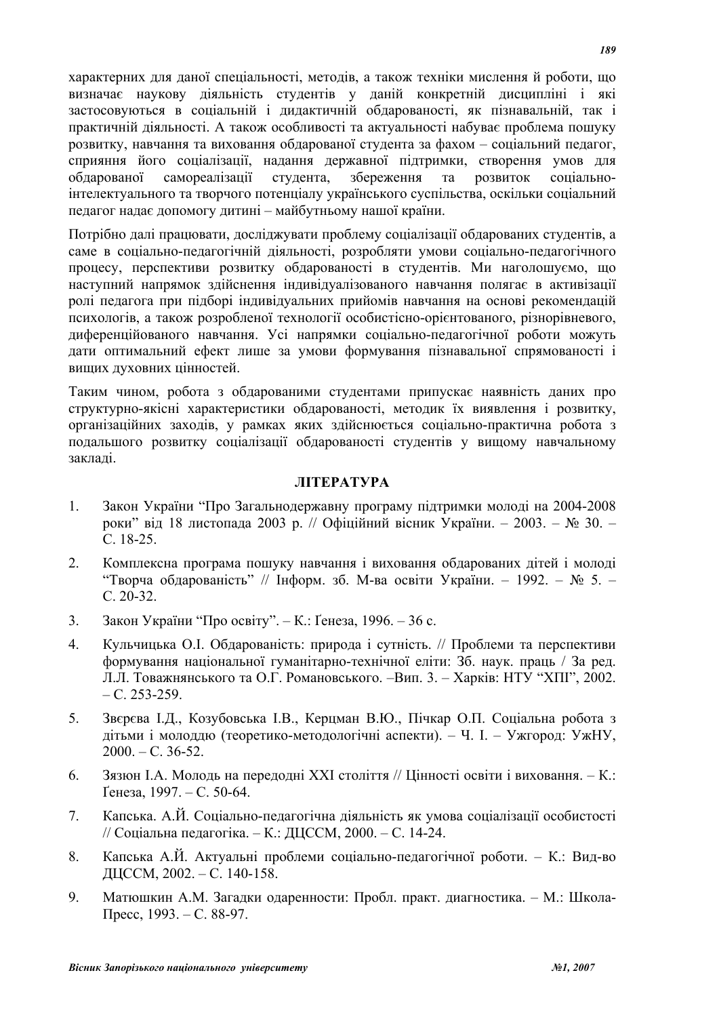характерних для даної спеціальності, методів, а також техніки мислення й роботи, що визначає наукову діяльність студентів у даній конкретній дисципліні і які застосовуються в соціальній і дидактичній обдарованості, як пізнавальній, так і практичній діяльності. А також особливості та актуальності набуває проблема пошуку розвитку, навчання та виховання обдарованої студента за фахом – соціальний педагог, сприяння його соціалізації, надання державної підтримки, створення умов для обдарованої самореалізації студента, збереження та розвиток соціальноінтелектуального та творчого потенціалу українського суспільства, оскільки соціальний педагог надає допомогу дитині – майбутньому нашої країни.

Потрібно далі працювати, досліджувати проблему соціалізації обдарованих студентів, а саме в соціально-педагогічній діяльності, розробляти умови соціально-педагогічного процесу, перспективи розвитку обдарованості в студентів. Ми наголошуємо, що наступний напрямок здійснення індивідуалізованого навчання полягає в активізації ролі пелагога при пілборі індивілуальних прийомів навчання на основі рекоменлацій психологів, а також розробленої технології особистісно-орієнтованого, різнорівневого, диференційованого навчання. Усі напрямки соціально-педагогічної роботи можуть дати оптимальний ефект лише за умови формування пізнавальної спрямованості і вищих духовних цінностей.

Таким чином, робота з обдарованими студентами припускає наявність даних про структурно-якісні характеристики обдарованості, методик їх виявлення і розвитку, організаційних заходів, у рамках яких здійснюється соціально-практична робота з подальшого розвитку соціалізації обдарованості студентів у вищому навчальному заклалі.

### **JITEPATYPA**

- 1. Закон України "Про Загальнодержавну програму підтримки молоді на 2004-2008 роки" від 18 листопада 2003 р. // Офіційний вісник України. – 2003. – № 30. – C. 18-25.
- 2. Комплексна програма пошуку навчання і виховання обдарованих дітей і молоді "Творча обдарованість" // Інформ. зб. М-ва освіти України. – 1992. – № 5. –  $C. 20-32.$
- 3. Закон України "Про освіту". К.: Ґенеза, 1996. 36 с.
- 4. Кульчицька О.І. Обдарованість: природа і сутність. // Проблеми та перспективи формування національної гуманітарно-технічної еліти: Зб. наук. праць / За ред. Л.Л. Товажнянського та О.Г. Романовського. -Вип. 3. - Харків: НТУ "ХПІ", 2002.  $- C. 253 - 259.$
- 5. Звєрєва І.Д., Козубовська І.В., Керцман В.Ю., Пічкар О.П. Соціальна робота з дітьми і молоддю (теоретико-методологічні аспекти). – Ч. І. – Ужгород: УжНУ,  $2000 - C.36 - 52$
- 6. Зязюн І.А. Молодь на передодні XXI століття // Цінності освіти і виховання. К.: Генеза, 1997. – С. 50-64.
- 7. Капська. А.Й. Соціально-педагогічна діяльність як умова соціалізації особистості // Соціальна педагогіка. – К.: ДЦССМ, 2000. – С. 14-24.
- 8. Капська А.Й. Актуальні проблеми соціально-пелагогічної роботи. К.: Вил-во ДЦССМ, 2002. – С. 140-158.
- 9. Матюшкин А.М. Загадки одаренности: Пробл. практ. диагностика. М.: Школа- $\Pi$ pecc, 1993. – C. 88-97.